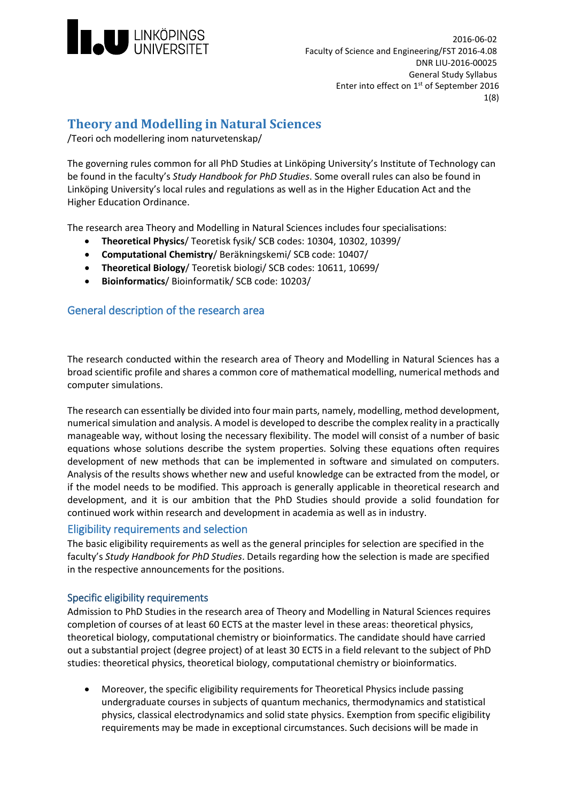

# **Theory and Modelling in Natural Sciences**

/Teori och modellering inom naturvetenskap/

The governing rules common for all PhD Studies at Linköping University's Institute of Technology can be found in the faculty's *Study Handbook for PhD Studies*. Some overall rules can also be found in Linköping University's local rules and regulations as well as in the Higher Education Act and the Higher Education Ordinance.

The research area Theory and Modelling in Natural Sciences includes four specialisations:

- **Theoretical Physics**/ Teoretisk fysik/ SCB codes: 10304, 10302, 10399/
- **Computational Chemistry**/ Beräkningskemi/ SCB code: 10407/
- **Theoretical Biology**/ Teoretisk biologi/ SCB codes: 10611, 10699/
- **Bioinformatics**/ Bioinformatik/ SCB code: 10203/

# General description of the research area

The research conducted within the research area of Theory and Modelling in Natural Sciences has a broad scientific profile and shares a common core of mathematical modelling, numerical methods and computer simulations.

The research can essentially be divided into four main parts, namely, modelling, method development, numerical simulation and analysis. A model is developed to describe the complex reality in a practically manageable way, without losing the necessary flexibility. The model will consist of a number of basic equations whose solutions describe the system properties. Solving these equations often requires development of new methods that can be implemented in software and simulated on computers. Analysis of the results shows whether new and useful knowledge can be extracted from the model, or if the model needs to be modified. This approach is generally applicable in theoretical research and development, and it is our ambition that the PhD Studies should provide a solid foundation for continued work within research and development in academia as well as in industry.

# Eligibility requirements and selection

The basic eligibility requirements as well as the general principles for selection are specified in the faculty's *Study Handbook for PhD Studies*. Details regarding how the selection is made are specified in the respective announcements for the positions.

# Specific eligibility requirements

Admission to PhD Studies in the research area of Theory and Modelling in Natural Sciences requires completion of courses of at least 60 ECTS at the master level in these areas: theoretical physics, theoretical biology, computational chemistry or bioinformatics. The candidate should have carried out a substantial project (degree project) of at least 30 ECTS in a field relevant to the subject of PhD studies: theoretical physics, theoretical biology, computational chemistry or bioinformatics.

• Moreover, the specific eligibility requirements for Theoretical Physics include passing undergraduate courses in subjects of quantum mechanics, thermodynamics and statistical physics, classical electrodynamics and solid state physics. Exemption from specific eligibility requirements may be made in exceptional circumstances. Such decisions will be made in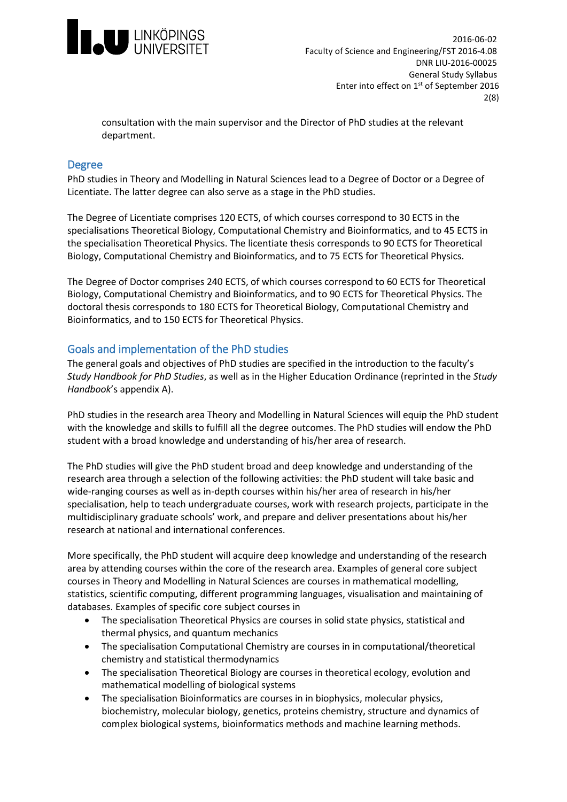

consultation with the main supervisor and the Director of PhD studies at the relevant department.

# Degree

PhD studies in Theory and Modelling in Natural Sciences lead to a Degree of Doctor or a Degree of Licentiate. The latter degree can also serve as a stage in the PhD studies.

The Degree of Licentiate comprises 120 ECTS, of which courses correspond to 30 ECTS in the specialisations Theoretical Biology, Computational Chemistry and Bioinformatics, and to 45 ECTS in the specialisation Theoretical Physics. The licentiate thesis corresponds to 90 ECTS for Theoretical Biology, Computational Chemistry and Bioinformatics, and to 75 ECTS for Theoretical Physics.

The Degree of Doctor comprises 240 ECTS, of which courses correspond to 60 ECTS for Theoretical Biology, Computational Chemistry and Bioinformatics, and to 90 ECTS for Theoretical Physics. The doctoral thesis corresponds to 180 ECTS for Theoretical Biology, Computational Chemistry and Bioinformatics, and to 150 ECTS for Theoretical Physics.

# Goals and implementation of the PhD studies

The general goals and objectives of PhD studies are specified in the introduction to the faculty's *Study Handbook for PhD Studies*, as well as in the Higher Education Ordinance (reprinted in the *Study Handbook*'s appendix A).

PhD studies in the research area Theory and Modelling in Natural Sciences will equip the PhD student with the knowledge and skills to fulfill all the degree outcomes. The PhD studies will endow the PhD student with a broad knowledge and understanding of his/her area of research.

The PhD studies will give the PhD student broad and deep knowledge and understanding of the research area through a selection of the following activities: the PhD student will take basic and wide-ranging courses as well as in-depth courses within his/her area of research in his/her specialisation, help to teach undergraduate courses, work with research projects, participate in the multidisciplinary graduate schools' work, and prepare and deliver presentations about his/her research at national and international conferences.

More specifically, the PhD student will acquire deep knowledge and understanding of the research area by attending courses within the core of the research area. Examples of general core subject courses in Theory and Modelling in Natural Sciences are courses in mathematical modelling, statistics, scientific computing, different programming languages, visualisation and maintaining of databases. Examples of specific core subject courses in

- The specialisation Theoretical Physics are courses in solid state physics, statistical and thermal physics, and quantum mechanics
- The specialisation Computational Chemistry are courses in in computational/theoretical chemistry and statistical thermodynamics
- The specialisation Theoretical Biology are courses in theoretical ecology, evolution and mathematical modelling of biological systems
- The specialisation Bioinformatics are courses in in biophysics, molecular physics, biochemistry, molecular biology, genetics, proteins chemistry, structure and dynamics of complex biological systems, bioinformatics methods and machine learning methods.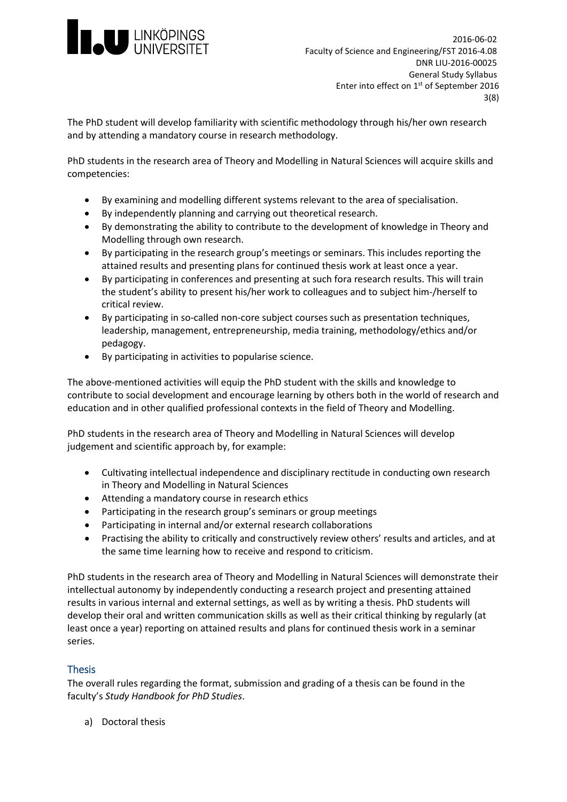

The PhD student will develop familiarity with scientific methodology through his/her own research and by attending a mandatory course in research methodology.

PhD students in the research area of Theory and Modelling in Natural Sciences will acquire skills and competencies:

- By examining and modelling different systems relevant to the area of specialisation.
- By independently planning and carrying out theoretical research.
- By demonstrating the ability to contribute to the development of knowledge in Theory and Modelling through own research.
- By participating in the research group's meetings or seminars. This includes reporting the attained results and presenting plans for continued thesis work at least once a year.
- By participating in conferences and presenting at such fora research results. This will train the student's ability to present his/her work to colleagues and to subject him-/herself to critical review.
- By participating in so-called non-core subject courses such as presentation techniques, leadership, management, entrepreneurship, media training, methodology/ethics and/or pedagogy.
- By participating in activities to popularise science.

The above-mentioned activities will equip the PhD student with the skills and knowledge to contribute to social development and encourage learning by others both in the world of research and education and in other qualified professional contexts in the field of Theory and Modelling.

PhD students in the research area of Theory and Modelling in Natural Sciences will develop judgement and scientific approach by, for example:

- Cultivating intellectual independence and disciplinary rectitude in conducting own research in Theory and Modelling in Natural Sciences
- Attending a mandatory course in research ethics
- Participating in the research group's seminars or group meetings
- Participating in internal and/or external research collaborations
- Practising the ability to critically and constructively review others' results and articles, and at the same time learning how to receive and respond to criticism.

PhD students in the research area of Theory and Modelling in Natural Sciences will demonstrate their intellectual autonomy by independently conducting a research project and presenting attained results in various internal and external settings, as well as by writing a thesis. PhD students will develop their oral and written communication skills as well as their critical thinking by regularly (at least once a year) reporting on attained results and plans for continued thesis work in a seminar series.

# Thesis

The overall rules regarding the format, submission and grading of a thesis can be found in the faculty's *Study Handbook for PhD Studies*.

a) Doctoral thesis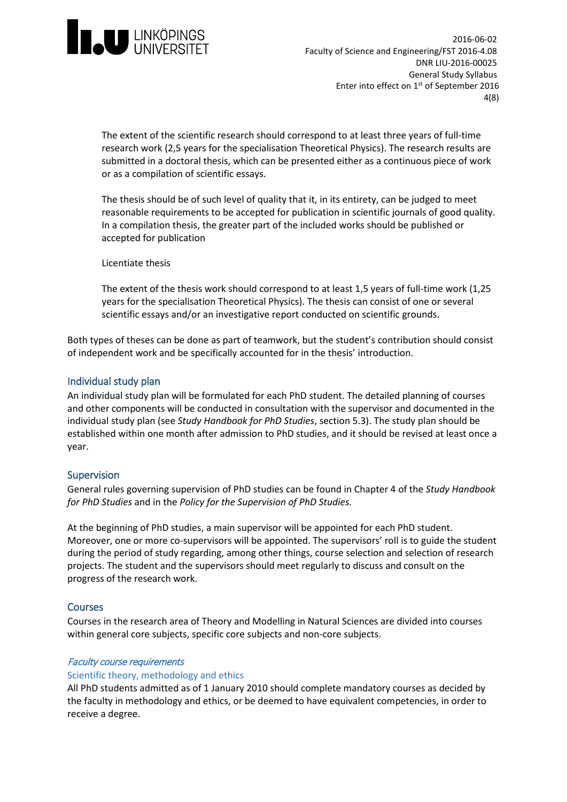

The extent of the scientific research should correspond to at least three years of full-time research work (2,5 years for the specialisation Theoretical Physics). The research results are submitted in a doctoral thesis, which can be presented either as a continuous piece of work or as a compilation of scientific essays.

The thesis should be of such level of quality that it, in its entirety, can be judged to meet reasonable requirements to be accepted for publication in scientific journals of good quality. In a compilation thesis, the greater part of the included works should be published or accepted for publication

Licentiate thesis

The extent of the thesis work should correspond to at least 1,5 years of full-time work (1,25 years for the specialisation Theoretical Physics). The thesis can consist of one or several scientific essays and/or an investigative report conducted on scientific grounds.

Both types of theses can be done as part of teamwork, but the student's contribution should consist of independent work and be specifically accounted for in the thesis' introduction.

# Individual study plan

An individual study plan will be formulated for each PhD student. The detailed planning of courses and other components will be conducted in consultation with the supervisor and documented in the individual study plan (see *Study Handbook for PhD Studies*, section 5.3). The study plan should be established within one month after admission to PhD studies, and it should be revised at least once a year.

# Supervision

General rules governing supervision of PhD studies can be found in Chapter 4 of the *Study Handbook for PhD Studies* and in the *Policy for the Supervision of PhD Studies.*

At the beginning of PhD studies, a main supervisor will be appointed for each PhD student. Moreover, one or more co-supervisors will be appointed. The supervisors' roll is to guide the student during the period of study regarding, among other things, course selection and selection of research projects. The student and the supervisors should meet regularly to discuss and consult on the progress of the research work.

### Courses

Courses in the research area of Theory and Modelling in Natural Sciences are divided into courses within general core subjects, specific core subjects and non-core subjects.

### Faculty course requirements

### Scientific theory, methodology and ethics

All PhD students admitted as of 1 January 2010 should complete mandatory courses as decided by the faculty in methodology and ethics, or be deemed to have equivalent competencies, in order to receive a degree.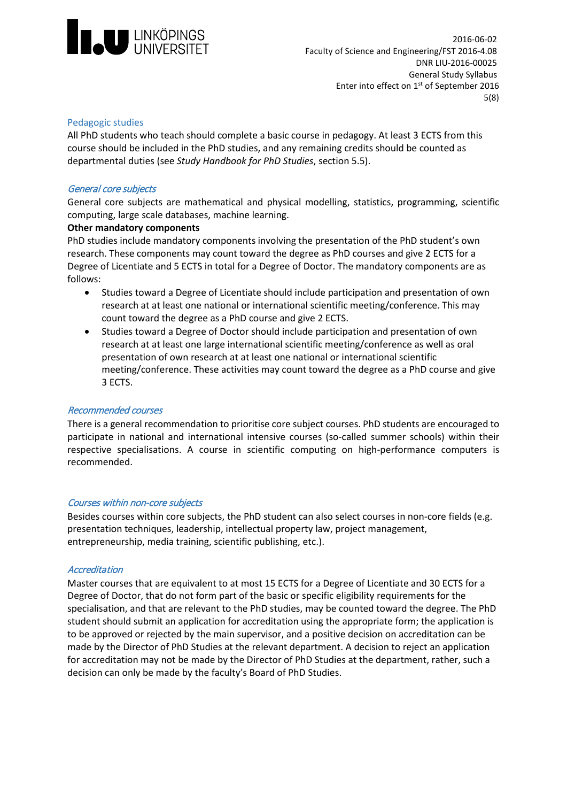

### Pedagogic studies

All PhD students who teach should complete a basic course in pedagogy. At least 3 ECTS from this course should be included in the PhD studies, and any remaining credits should be counted as departmental duties (see *Study Handbook for PhD Studies*, section 5.5).

### General core subjects

General core subjects are mathematical and physical modelling, statistics, programming, scientific computing, large scale databases, machine learning.

### **Other mandatory components**

PhD studies include mandatory components involving the presentation of the PhD student's own research. These components may count toward the degree as PhD courses and give 2 ECTS for a Degree of Licentiate and 5 ECTS in total for a Degree of Doctor. The mandatory components are as follows:

- Studies toward a Degree of Licentiate should include participation and presentation of own research at at least one national or international scientific meeting/conference. This may count toward the degree as a PhD course and give 2 ECTS.
- Studies toward a Degree of Doctor should include participation and presentation of own research at at least one large international scientific meeting/conference as well as oral presentation of own research at at least one national or international scientific meeting/conference. These activities may count toward the degree as a PhD course and give 3 ECTS.

# Recommended courses

There is a general recommendation to prioritise core subject courses. PhD students are encouraged to participate in national and international intensive courses (so-called summer schools) within their respective specialisations. A course in scientific computing on high-performance computers is recommended.

### Courses within non-core subjects

Besides courses within core subjects, the PhD student can also select courses in non-core fields (e.g. presentation techniques, leadership, intellectual property law, project management, entrepreneurship, media training, scientific publishing, etc.).

### **Accreditation**

Master courses that are equivalent to at most 15 ECTS for a Degree of Licentiate and 30 ECTS for a Degree of Doctor, that do not form part of the basic or specific eligibility requirements for the specialisation, and that are relevant to the PhD studies, may be counted toward the degree. The PhD student should submit an application for accreditation using the appropriate form; the application is to be approved or rejected by the main supervisor, and a positive decision on accreditation can be made by the Director of PhD Studies at the relevant department. A decision to reject an application for accreditation may not be made by the Director of PhD Studies at the department, rather, such a decision can only be made by the faculty's Board of PhD Studies.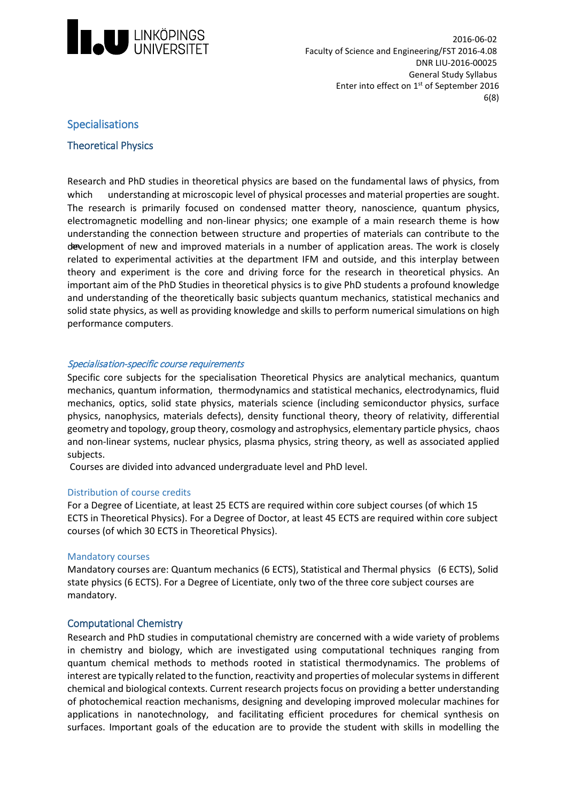

# Specialisations

# Theoretical Physics

Research and PhD studies in theoretical physics are based on the fundamental laws of physics, from which development of new and improved materials in a number of application areas. The work is closely understanding at microscopic level of physical processes and material properties are sought. The research is primarily focused on condensed matter theory, nanoscience, quantum physics, electromagnetic modelling and non-linear physics; one example of a main research theme is how understanding the connection between structure and properties of materials can contribute to the related to experimental activities at the department IFM and outside, and this interplay between theory and experiment is the core and driving force for the research in theoretical physics. An important aim of the PhD Studies in theoretical physics is to give PhD students a profound knowledge and understanding of the theoretically basic subjects quantum mechanics, statistical mechanics and solid state physics, as well as providing knowledge and skills to perform numerical simulations on high performance computers.

# Specialisation-specific course requirements

Specific core subjects for the specialisation Theoretical Physics are analytical mechanics, quantum mechanics, quantum information, thermodynamics and statistical mechanics, electrodynamics, fluid mechanics, optics, solid state physics, materials science (including semiconductor physics, surface physics, nanophysics, materials defects), density functional theory, theory of relativity, differential geometry and topology, group theory, cosmology and astrophysics, elementary particle physics, chaos and non-linear systems, nuclear physics, plasma physics, string theory, as well as associated applied subjects.

Courses are divided into advanced undergraduate level and PhD level.

### Distribution of course credits

For a Degree of Licentiate, at least 25 ECTS are required within core subject courses (of which 15 ECTS in Theoretical Physics). For a Degree of Doctor, at least 45 ECTS are required within core subject courses (of which 30 ECTS in Theoretical Physics).

### Mandatory courses

Mandatory courses are: Quantum mechanics (6 ECTS), Statistical and Thermal physics (6 ECTS), Solid state physics (6 ECTS). For a Degree of Licentiate, only two of the three core subject courses are mandatory.

# Computational Chemistry

Research and PhD studies in computational chemistry are concerned with a wide variety of problems in chemistry and biology, which are investigated using computational techniques ranging from quantum chemical methods to methods rooted in statistical thermodynamics. The problems of interest are typically related to the function, reactivity and properties of molecular systems in different chemical and biological contexts. Current research projects focus on providing a better understanding of photochemical reaction mechanisms, designing and developing improved molecular machines for applications in nanotechnology, and facilitating efficient procedures for chemical synthesis on surfaces. Important goals of the education are to provide the student with skills in modelling the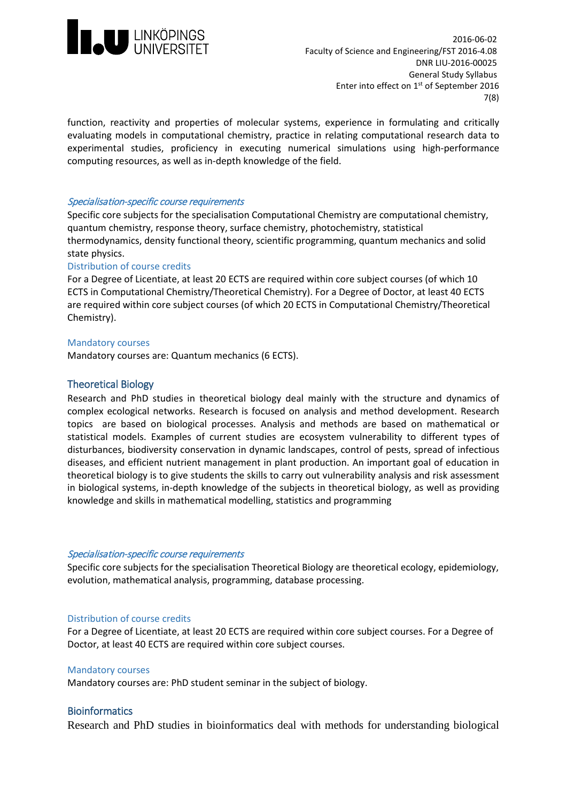

function, reactivity and properties of molecular systems, experience in formulating and critically evaluating models in computational chemistry, practice in relating computational research data to experimental studies, proficiency in executing numerical simulations using high-performance computing resources, as well as in-depth knowledge of the field.

### Specialisation-specific course requirements

Specific core subjects for the specialisation Computational Chemistry are computational chemistry, quantum chemistry, response theory, surface chemistry, photochemistry, statistical thermodynamics, density functional theory, scientific programming, quantum mechanics and solid state physics.

### Distribution of course credits

For a Degree of Licentiate, at least 20 ECTS are required within core subject courses (of which 10 ECTS in Computational Chemistry/Theoretical Chemistry). For a Degree of Doctor, at least 40 ECTS are required within core subject courses (of which 20 ECTS in Computational Chemistry/Theoretical Chemistry).

### Mandatory courses

Mandatory courses are: Quantum mechanics (6 ECTS).

# Theoretical Biology

Research and PhD studies in theoretical biology deal mainly with the structure and dynamics of complex ecological networks. Research is focused on analysis and method development. Research topics are based on biological processes. Analysis and methods are based on mathematical or statistical models. Examples of current studies are ecosystem vulnerability to different types of disturbances, biodiversity conservation in dynamic landscapes, control of pests, spread of infectious diseases, and efficient nutrient management in plant production. An important goal of education in theoretical biology is to give students the skills to carry out vulnerability analysis and risk assessment in biological systems, in-depth knowledge of the subjects in theoretical biology, as well as providing knowledge and skills in mathematical modelling, statistics and programming

### Specialisation-specific course requirements

Specific core subjects for the specialisation Theoretical Biology are theoretical ecology, epidemiology, evolution, mathematical analysis, programming, database processing.

### Distribution of course credits

For a Degree of Licentiate, at least 20 ECTS are required within core subject courses. For a Degree of Doctor, at least 40 ECTS are required within core subject courses.

### Mandatory courses

Mandatory courses are: PhD student seminar in the subject of biology.

# **Bioinformatics**

Research and PhD studies in bioinformatics deal with methods for understanding biological